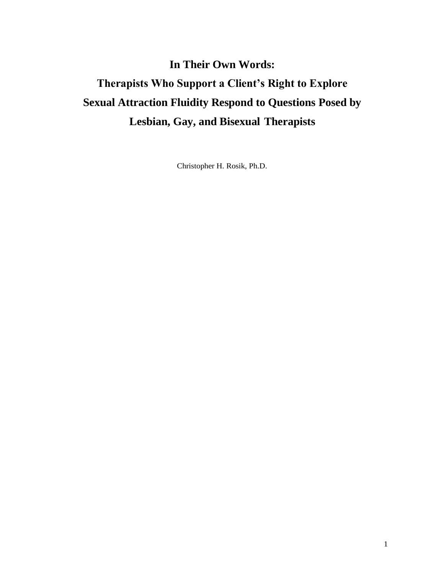# **In Their Own Words: Therapists Who Support a Client's Right to Explore Sexual Attraction Fluidity Respond to Questions Posed by Lesbian, Gay, and Bisexual Therapists**

Christopher H. Rosik, Ph.D.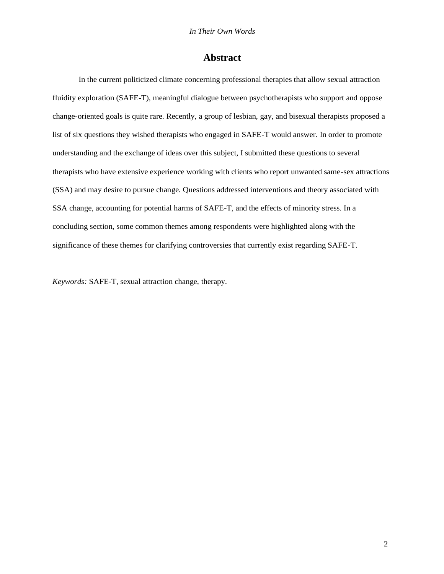## **Abstract**

In the current politicized climate concerning professional therapies that allow sexual attraction fluidity exploration (SAFE-T), meaningful dialogue between psychotherapists who support and oppose change-oriented goals is quite rare. Recently, a group of lesbian, gay, and bisexual therapists proposed a list of six questions they wished therapists who engaged in SAFE-T would answer. In order to promote understanding and the exchange of ideas over this subject, I submitted these questions to several therapists who have extensive experience working with clients who report unwanted same-sex attractions (SSA) and may desire to pursue change. Questions addressed interventions and theory associated with SSA change, accounting for potential harms of SAFE-T, and the effects of minority stress. In a concluding section, some common themes among respondents were highlighted along with the significance of these themes for clarifying controversies that currently exist regarding SAFE-T.

*Keywords:* SAFE-T, sexual attraction change, therapy.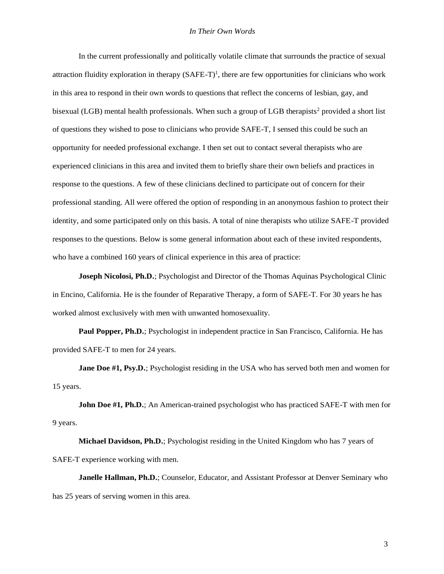In the current professionally and politically volatile climate that surrounds the practice of sexual attraction fluidity exploration in therapy  $(SAFE-T)^1$ , there are few opportunities for clinicians who work in this area to respond in their own words to questions that reflect the concerns of lesbian, gay, and bisexual (LGB) mental health professionals. When such a group of LGB therapists<sup>2</sup> provided a short list of questions they wished to pose to clinicians who provide SAFE-T, I sensed this could be such an opportunity for needed professional exchange. I then set out to contact several therapists who are experienced clinicians in this area and invited them to briefly share their own beliefs and practices in response to the questions. A few of these clinicians declined to participate out of concern for their professional standing. All were offered the option of responding in an anonymous fashion to protect their identity, and some participated only on this basis. A total of nine therapists who utilize SAFE-T provided responses to the questions. Below is some general information about each of these invited respondents, who have a combined 160 years of clinical experience in this area of practice:

**Joseph Nicolosi, Ph.D.**; Psychologist and Director of the Thomas Aquinas Psychological Clinic in Encino, California. He is the founder of Reparative Therapy, a form of SAFE-T. For 30 years he has worked almost exclusively with men with unwanted homosexuality.

**Paul Popper, Ph.D.**; Psychologist in independent practice in San Francisco, California. He has provided SAFE-T to men for 24 years.

**Jane Doe #1, Psy.D.**; Psychologist residing in the USA who has served both men and women for 15 years.

**John Doe #1, Ph.D.**; An American-trained psychologist who has practiced SAFE-T with men for 9 years.

**Michael Davidson, Ph.D.**; Psychologist residing in the United Kingdom who has 7 years of SAFE-T experience working with men.

**Janelle Hallman, Ph.D.**; Counselor, Educator, and Assistant Professor at Denver Seminary who has 25 years of serving women in this area.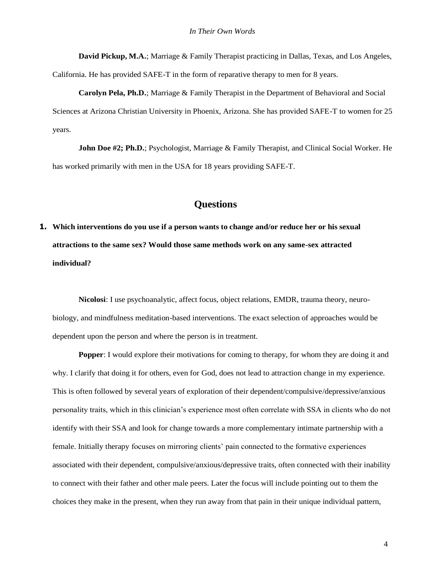**David Pickup, M.A.**; Marriage & Family Therapist practicing in Dallas, Texas, and Los Angeles, California. He has provided SAFE-T in the form of reparative therapy to men for 8 years.

**Carolyn Pela, Ph.D.**; Marriage & Family Therapist in the Department of Behavioral and Social Sciences at Arizona Christian University in Phoenix, Arizona. She has provided SAFE-T to women for 25 years.

**John Doe #2; Ph.D.**; Psychologist, Marriage & Family Therapist, and Clinical Social Worker. He has worked primarily with men in the USA for 18 years providing SAFE-T.

## **Questions**

**1. Which interventions do you use if a person wants to change and/or reduce her or his sexual attractions to the same sex? Would those same methods work on any same-sex attracted individual?**

**Nicolosi**: I use psychoanalytic, affect focus, object relations, EMDR, trauma theory, neurobiology, and mindfulness meditation-based interventions. The exact selection of approaches would be dependent upon the person and where the person is in treatment.

**Popper:** I would explore their motivations for coming to therapy, for whom they are doing it and why. I clarify that doing it for others, even for God, does not lead to attraction change in my experience. This is often followed by several years of exploration of their dependent/compulsive/depressive/anxious personality traits, which in this clinician's experience most often correlate with SSA in clients who do not identify with their SSA and look for change towards a more complementary intimate partnership with a female. Initially therapy focuses on mirroring clients' pain connected to the formative experiences associated with their dependent, compulsive/anxious/depressive traits, often connected with their inability to connect with their father and other male peers. Later the focus will include pointing out to them the choices they make in the present, when they run away from that pain in their unique individual pattern,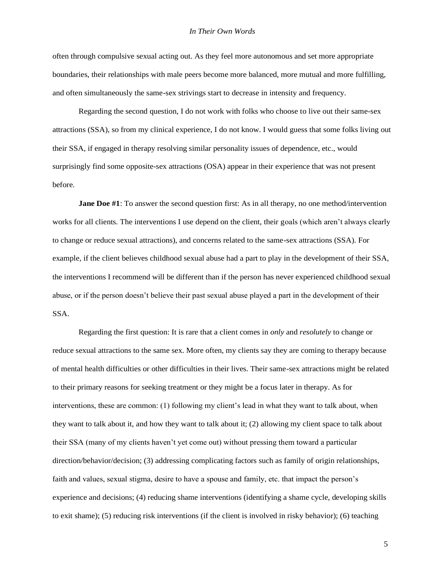often through compulsive sexual acting out. As they feel more autonomous and set more appropriate boundaries, their relationships with male peers become more balanced, more mutual and more fulfilling, and often simultaneously the same-sex strivings start to decrease in intensity and frequency.

Regarding the second question, I do not work with folks who choose to live out their same-sex attractions (SSA), so from my clinical experience, I do not know. I would guess that some folks living out their SSA, if engaged in therapy resolving similar personality issues of dependence, etc., would surprisingly find some opposite-sex attractions (OSA) appear in their experience that was not present before.

**Jane Doe #1**: To answer the second question first: As in all therapy, no one method/intervention works for all clients. The interventions I use depend on the client, their goals (which aren't always clearly to change or reduce sexual attractions), and concerns related to the same-sex attractions (SSA). For example, if the client believes childhood sexual abuse had a part to play in the development of their SSA, the interventions I recommend will be different than if the person has never experienced childhood sexual abuse, or if the person doesn't believe their past sexual abuse played a part in the development of their SSA.

Regarding the first question: It is rare that a client comes in *only* and *resolutely* to change or reduce sexual attractions to the same sex. More often, my clients say they are coming to therapy because of mental health difficulties or other difficulties in their lives. Their same-sex attractions might be related to their primary reasons for seeking treatment or they might be a focus later in therapy. As for interventions, these are common: (1) following my client's lead in what they want to talk about, when they want to talk about it, and how they want to talk about it; (2) allowing my client space to talk about their SSA (many of my clients haven't yet come out) without pressing them toward a particular direction/behavior/decision; (3) addressing complicating factors such as family of origin relationships, faith and values, sexual stigma, desire to have a spouse and family, etc. that impact the person's experience and decisions; (4) reducing shame interventions (identifying a shame cycle, developing skills to exit shame); (5) reducing risk interventions (if the client is involved in risky behavior); (6) teaching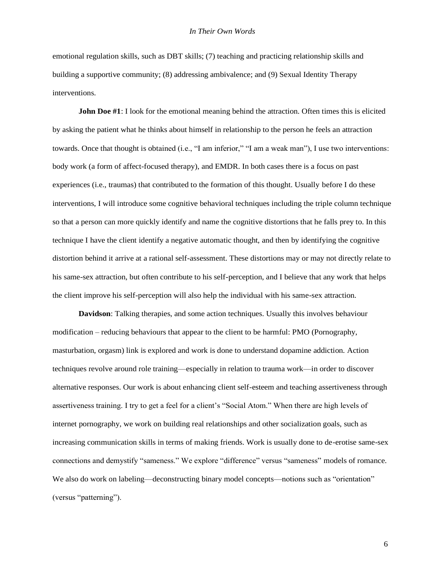emotional regulation skills, such as DBT skills; (7) teaching and practicing relationship skills and building a supportive community; (8) addressing ambivalence; and (9) Sexual Identity Therapy interventions.

**John Doe #1**: I look for the emotional meaning behind the attraction. Often times this is elicited by asking the patient what he thinks about himself in relationship to the person he feels an attraction towards. Once that thought is obtained (i.e., "I am inferior," "I am a weak man"), I use two interventions: body work (a form of affect-focused therapy), and EMDR. In both cases there is a focus on past experiences (i.e., traumas) that contributed to the formation of this thought. Usually before I do these interventions, I will introduce some cognitive behavioral techniques including the triple column technique so that a person can more quickly identify and name the cognitive distortions that he falls prey to. In this technique I have the client identify a negative automatic thought, and then by identifying the cognitive distortion behind it arrive at a rational self-assessment. These distortions may or may not directly relate to his same-sex attraction, but often contribute to his self-perception, and I believe that any work that helps the client improve his self-perception will also help the individual with his same-sex attraction.

**Davidson**: Talking therapies, and some action techniques. Usually this involves behaviour modification – reducing behaviours that appear to the client to be harmful: PMO (Pornography, masturbation, orgasm) link is explored and work is done to understand dopamine addiction. Action techniques revolve around role training—especially in relation to trauma work—in order to discover alternative responses. Our work is about enhancing client self-esteem and teaching assertiveness through assertiveness training. I try to get a feel for a client's "Social Atom." When there are high levels of internet pornography, we work on building real relationships and other socialization goals, such as increasing communication skills in terms of making friends. Work is usually done to de-erotise same-sex connections and demystify "sameness." We explore "difference" versus "sameness" models of romance. We also do work on labeling—deconstructing binary model concepts—notions such as "orientation" (versus "patterning").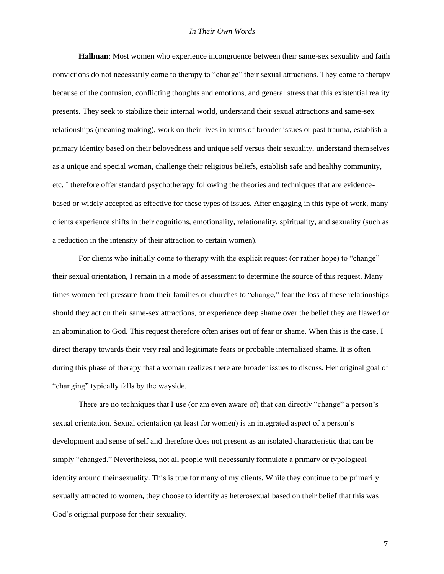**Hallman**: Most women who experience incongruence between their same-sex sexuality and faith convictions do not necessarily come to therapy to "change" their sexual attractions. They come to therapy because of the confusion, conflicting thoughts and emotions, and general stress that this existential reality presents. They seek to stabilize their internal world, understand their sexual attractions and same-sex relationships (meaning making), work on their lives in terms of broader issues or past trauma, establish a primary identity based on their belovedness and unique self versus their sexuality, understand themselves as a unique and special woman, challenge their religious beliefs, establish safe and healthy community, etc. I therefore offer standard psychotherapy following the theories and techniques that are evidencebased or widely accepted as effective for these types of issues. After engaging in this type of work, many clients experience shifts in their cognitions, emotionality, relationality, spirituality, and sexuality (such as a reduction in the intensity of their attraction to certain women).

For clients who initially come to therapy with the explicit request (or rather hope) to "change" their sexual orientation, I remain in a mode of assessment to determine the source of this request. Many times women feel pressure from their families or churches to "change," fear the loss of these relationships should they act on their same-sex attractions, or experience deep shame over the belief they are flawed or an abomination to God. This request therefore often arises out of fear or shame. When this is the case, I direct therapy towards their very real and legitimate fears or probable internalized shame. It is often during this phase of therapy that a woman realizes there are broader issues to discuss. Her original goal of "changing" typically falls by the wayside.

There are no techniques that I use (or am even aware of) that can directly "change" a person's sexual orientation. Sexual orientation (at least for women) is an integrated aspect of a person's development and sense of self and therefore does not present as an isolated characteristic that can be simply "changed." Nevertheless, not all people will necessarily formulate a primary or typological identity around their sexuality. This is true for many of my clients. While they continue to be primarily sexually attracted to women, they choose to identify as heterosexual based on their belief that this was God's original purpose for their sexuality.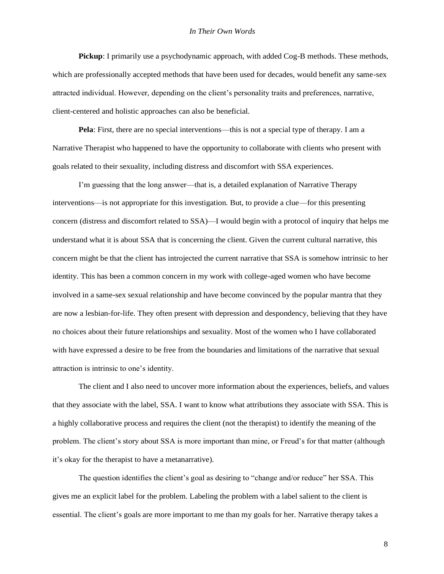**Pickup**: I primarily use a psychodynamic approach, with added Cog-B methods. These methods, which are professionally accepted methods that have been used for decades, would benefit any same-sex attracted individual. However, depending on the client's personality traits and preferences, narrative, client-centered and holistic approaches can also be beneficial.

**Pela**: First, there are no special interventions—this is not a special type of therapy. I am a Narrative Therapist who happened to have the opportunity to collaborate with clients who present with goals related to their sexuality, including distress and discomfort with SSA experiences.

I'm guessing that the long answer—that is, a detailed explanation of Narrative Therapy interventions—is not appropriate for this investigation. But, to provide a clue—for this presenting concern (distress and discomfort related to SSA)—I would begin with a protocol of inquiry that helps me understand what it is about SSA that is concerning the client. Given the current cultural narrative, this concern might be that the client has introjected the current narrative that SSA is somehow intrinsic to her identity. This has been a common concern in my work with college-aged women who have become involved in a same-sex sexual relationship and have become convinced by the popular mantra that they are now a lesbian-for-life. They often present with depression and despondency, believing that they have no choices about their future relationships and sexuality. Most of the women who I have collaborated with have expressed a desire to be free from the boundaries and limitations of the narrative that sexual attraction is intrinsic to one's identity.

The client and I also need to uncover more information about the experiences, beliefs, and values that they associate with the label, SSA. I want to know what attributions they associate with SSA. This is a highly collaborative process and requires the client (not the therapist) to identify the meaning of the problem. The client's story about SSA is more important than mine, or Freud's for that matter (although it's okay for the therapist to have a metanarrative).

The question identifies the client's goal as desiring to "change and/or reduce" her SSA. This gives me an explicit label for the problem. Labeling the problem with a label salient to the client is essential. The client's goals are more important to me than my goals for her. Narrative therapy takes a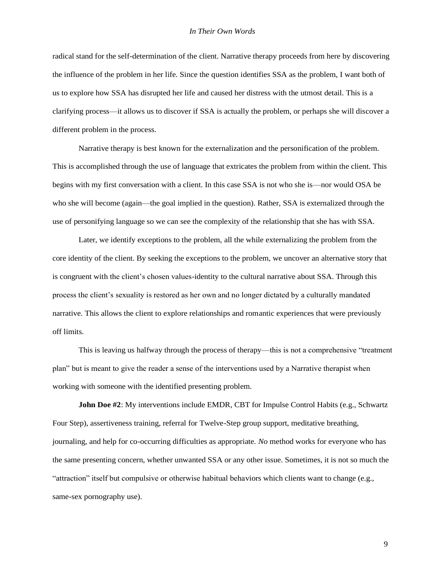radical stand for the self-determination of the client. Narrative therapy proceeds from here by discovering the influence of the problem in her life. Since the question identifies SSA as the problem, I want both of us to explore how SSA has disrupted her life and caused her distress with the utmost detail. This is a clarifying process—it allows us to discover if SSA is actually the problem, or perhaps she will discover a different problem in the process.

Narrative therapy is best known for the externalization and the personification of the problem. This is accomplished through the use of language that extricates the problem from within the client. This begins with my first conversation with a client. In this case SSA is not who she is—nor would OSA be who she will become (again—the goal implied in the question). Rather, SSA is externalized through the use of personifying language so we can see the complexity of the relationship that she has with SSA.

Later, we identify exceptions to the problem, all the while externalizing the problem from the core identity of the client. By seeking the exceptions to the problem, we uncover an alternative story that is congruent with the client's chosen values-identity to the cultural narrative about SSA. Through this process the client's sexuality is restored as her own and no longer dictated by a culturally mandated narrative. This allows the client to explore relationships and romantic experiences that were previously off limits.

This is leaving us halfway through the process of therapy—this is not a comprehensive "treatment plan" but is meant to give the reader a sense of the interventions used by a Narrative therapist when working with someone with the identified presenting problem.

**John Doe #2**: My interventions include EMDR, CBT for Impulse Control Habits (e.g., Schwartz Four Step), assertiveness training, referral for Twelve-Step group support, meditative breathing, journaling, and help for co-occurring difficulties as appropriate. *No* method works for everyone who has the same presenting concern, whether unwanted SSA or any other issue. Sometimes, it is not so much the "attraction" itself but compulsive or otherwise habitual behaviors which clients want to change (e.g., same-sex pornography use).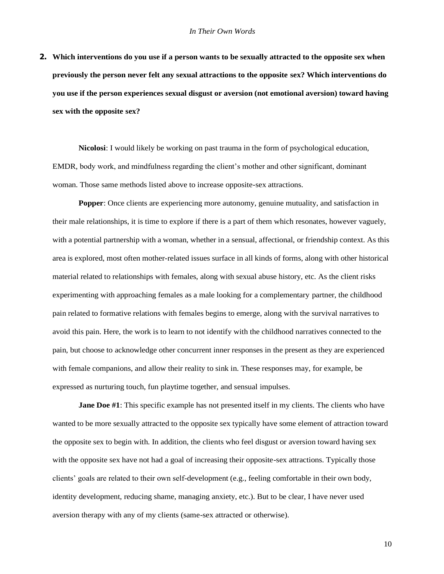**2. Which interventions do you use if a person wants to be sexually attracted to the opposite sex when previously the person never felt any sexual attractions to the opposite sex? Which interventions do you use if the person experiences sexual disgust or aversion (not emotional aversion) toward having sex with the opposite sex?**

**Nicolosi**: I would likely be working on past trauma in the form of psychological education, EMDR, body work, and mindfulness regarding the client's mother and other significant, dominant woman. Those same methods listed above to increase opposite-sex attractions.

**Popper**: Once clients are experiencing more autonomy, genuine mutuality, and satisfaction in their male relationships, it is time to explore if there is a part of them which resonates, however vaguely, with a potential partnership with a woman, whether in a sensual, affectional, or friendship context. As this area is explored, most often mother-related issues surface in all kinds of forms, along with other historical material related to relationships with females, along with sexual abuse history, etc. As the client risks experimenting with approaching females as a male looking for a complementary partner, the childhood pain related to formative relations with females begins to emerge, along with the survival narratives to avoid this pain. Here, the work is to learn to not identify with the childhood narratives connected to the pain, but choose to acknowledge other concurrent inner responses in the present as they are experienced with female companions, and allow their reality to sink in. These responses may, for example, be expressed as nurturing touch, fun playtime together, and sensual impulses.

**Jane Doe #1**: This specific example has not presented itself in my clients. The clients who have wanted to be more sexually attracted to the opposite sex typically have some element of attraction toward the opposite sex to begin with. In addition, the clients who feel disgust or aversion toward having sex with the opposite sex have not had a goal of increasing their opposite-sex attractions. Typically those clients' goals are related to their own self-development (e.g., feeling comfortable in their own body, identity development, reducing shame, managing anxiety, etc.). But to be clear, I have never used aversion therapy with any of my clients (same-sex attracted or otherwise).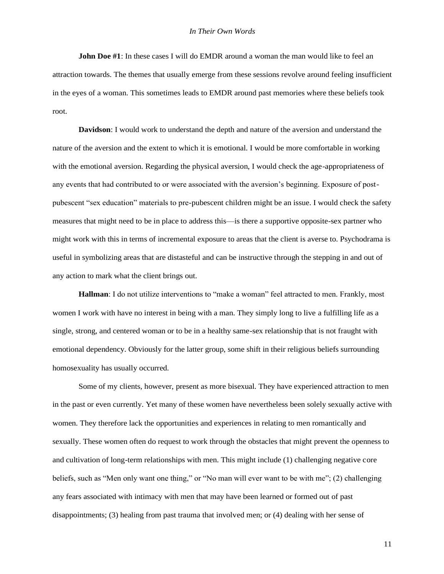**John Doe #1**: In these cases I will do EMDR around a woman the man would like to feel an attraction towards. The themes that usually emerge from these sessions revolve around feeling insufficient in the eyes of a woman. This sometimes leads to EMDR around past memories where these beliefs took root.

**Davidson**: I would work to understand the depth and nature of the aversion and understand the nature of the aversion and the extent to which it is emotional. I would be more comfortable in working with the emotional aversion. Regarding the physical aversion, I would check the age-appropriateness of any events that had contributed to or were associated with the aversion's beginning. Exposure of postpubescent "sex education" materials to pre-pubescent children might be an issue. I would check the safety measures that might need to be in place to address this—is there a supportive opposite-sex partner who might work with this in terms of incremental exposure to areas that the client is averse to. Psychodrama is useful in symbolizing areas that are distasteful and can be instructive through the stepping in and out of any action to mark what the client brings out.

**Hallman**: I do not utilize interventions to "make a woman" feel attracted to men. Frankly, most women I work with have no interest in being with a man. They simply long to live a fulfilling life as a single, strong, and centered woman or to be in a healthy same-sex relationship that is not fraught with emotional dependency. Obviously for the latter group, some shift in their religious beliefs surrounding homosexuality has usually occurred.

Some of my clients, however, present as more bisexual. They have experienced attraction to men in the past or even currently. Yet many of these women have nevertheless been solely sexually active with women. They therefore lack the opportunities and experiences in relating to men romantically and sexually. These women often do request to work through the obstacles that might prevent the openness to and cultivation of long-term relationships with men. This might include (1) challenging negative core beliefs, such as "Men only want one thing," or "No man will ever want to be with me"; (2) challenging any fears associated with intimacy with men that may have been learned or formed out of past disappointments; (3) healing from past trauma that involved men; or (4) dealing with her sense of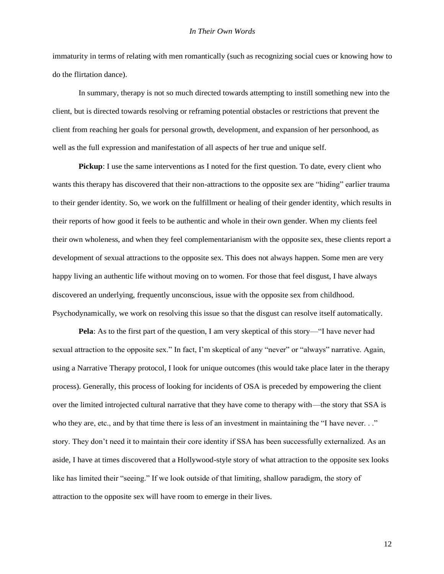immaturity in terms of relating with men romantically (such as recognizing social cues or knowing how to do the flirtation dance).

In summary, therapy is not so much directed towards attempting to instill something new into the client, but is directed towards resolving or reframing potential obstacles or restrictions that prevent the client from reaching her goals for personal growth, development, and expansion of her personhood, as well as the full expression and manifestation of all aspects of her true and unique self.

**Pickup**: I use the same interventions as I noted for the first question. To date, every client who wants this therapy has discovered that their non-attractions to the opposite sex are "hiding" earlier trauma to their gender identity. So, we work on the fulfillment or healing of their gender identity, which results in their reports of how good it feels to be authentic and whole in their own gender. When my clients feel their own wholeness, and when they feel complementarianism with the opposite sex, these clients report a development of sexual attractions to the opposite sex. This does not always happen. Some men are very happy living an authentic life without moving on to women. For those that feel disgust, I have always discovered an underlying, frequently unconscious, issue with the opposite sex from childhood. Psychodynamically, we work on resolving this issue so that the disgust can resolve itself automatically.

**Pela**: As to the first part of the question, I am very skeptical of this story—"I have never had sexual attraction to the opposite sex." In fact, I'm skeptical of any "never" or "always" narrative. Again, using a Narrative Therapy protocol, I look for unique outcomes (this would take place later in the therapy process). Generally, this process of looking for incidents of OSA is preceded by empowering the client over the limited introjected cultural narrative that they have come to therapy with—the story that SSA is who they are, etc., and by that time there is less of an investment in maintaining the "I have never. . ." story. They don't need it to maintain their core identity if SSA has been successfully externalized. As an aside, I have at times discovered that a Hollywood-style story of what attraction to the opposite sex looks like has limited their "seeing." If we look outside of that limiting, shallow paradigm, the story of attraction to the opposite sex will have room to emerge in their lives.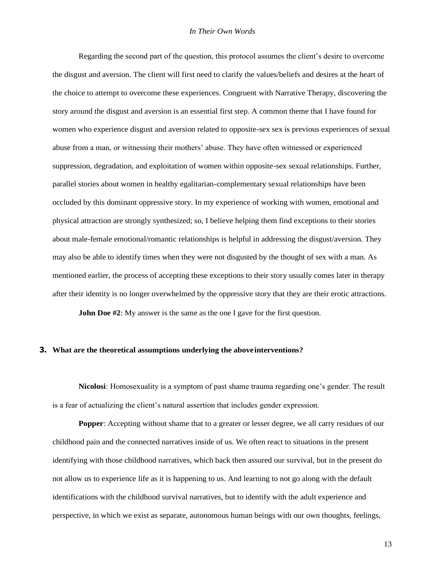Regarding the second part of the question, this protocol assumes the client's desire to overcome the disgust and aversion. The client will first need to clarify the values/beliefs and desires at the heart of the choice to attempt to overcome these experiences. Congruent with Narrative Therapy, discovering the story around the disgust and aversion is an essential first step. A common theme that I have found for women who experience disgust and aversion related to opposite-sex sex is previous experiences of sexual abuse from a man, or witnessing their mothers' abuse. They have often witnessed or experienced suppression, degradation, and exploitation of women within opposite-sex sexual relationships. Further, parallel stories about women in healthy egalitarian-complementary sexual relationships have been occluded by this dominant oppressive story. In my experience of working with women, emotional and physical attraction are strongly synthesized; so, I believe helping them find exceptions to their stories about male-female emotional/romantic relationships is helpful in addressing the disgust/aversion. They may also be able to identify times when they were not disgusted by the thought of sex with a man. As mentioned earlier, the process of accepting these exceptions to their story usually comes later in therapy after their identity is no longer overwhelmed by the oppressive story that they are their erotic attractions.

**John Doe** #2: My answer is the same as the one I gave for the first question.

### **3. What are the theoretical assumptions underlying the aboveinterventions?**

**Nicolosi**: Homosexuality is a symptom of past shame trauma regarding one's gender. The result is a fear of actualizing the client's natural assertion that includes gender expression.

**Popper**: Accepting without shame that to a greater or lesser degree, we all carry residues of our childhood pain and the connected narratives inside of us. We often react to situations in the present identifying with those childhood narratives, which back then assured our survival, but in the present do not allow us to experience life as it is happening to us. And learning to not go along with the default identifications with the childhood survival narratives, but to identify with the adult experience and perspective, in which we exist as separate, autonomous human beings with our own thoughts, feelings,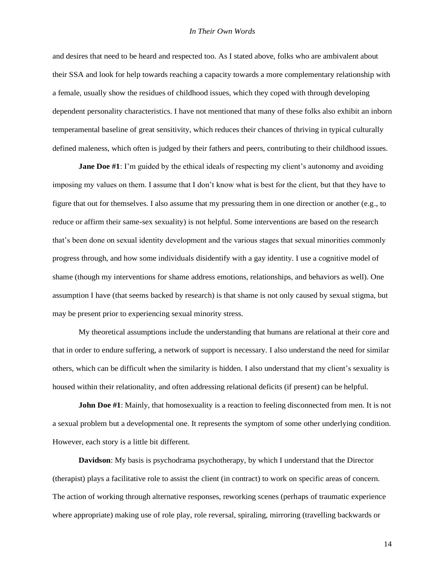and desires that need to be heard and respected too. As I stated above, folks who are ambivalent about their SSA and look for help towards reaching a capacity towards a more complementary relationship with a female, usually show the residues of childhood issues, which they coped with through developing dependent personality characteristics. I have not mentioned that many of these folks also exhibit an inborn temperamental baseline of great sensitivity, which reduces their chances of thriving in typical culturally defined maleness, which often is judged by their fathers and peers, contributing to their childhood issues.

**Jane Doe #1**: I'm guided by the ethical ideals of respecting my client's autonomy and avoiding imposing my values on them. I assume that I don't know what is best for the client, but that they have to figure that out for themselves. I also assume that my pressuring them in one direction or another (e.g., to reduce or affirm their same-sex sexuality) is not helpful. Some interventions are based on the research that's been done on sexual identity development and the various stages that sexual minorities commonly progress through, and how some individuals disidentify with a gay identity. I use a cognitive model of shame (though my interventions for shame address emotions, relationships, and behaviors as well). One assumption I have (that seems backed by research) is that shame is not only caused by sexual stigma, but may be present prior to experiencing sexual minority stress.

My theoretical assumptions include the understanding that humans are relational at their core and that in order to endure suffering, a network of support is necessary. I also understand the need for similar others, which can be difficult when the similarity is hidden. I also understand that my client's sexuality is housed within their relationality, and often addressing relational deficits (if present) can be helpful.

**John Doe #1**: Mainly, that homosexuality is a reaction to feeling disconnected from men. It is not a sexual problem but a developmental one. It represents the symptom of some other underlying condition. However, each story is a little bit different.

**Davidson**: My basis is psychodrama psychotherapy, by which I understand that the Director (therapist) plays a facilitative role to assist the client (in contract) to work on specific areas of concern. The action of working through alternative responses, reworking scenes (perhaps of traumatic experience where appropriate) making use of role play, role reversal, spiraling, mirroring (travelling backwards or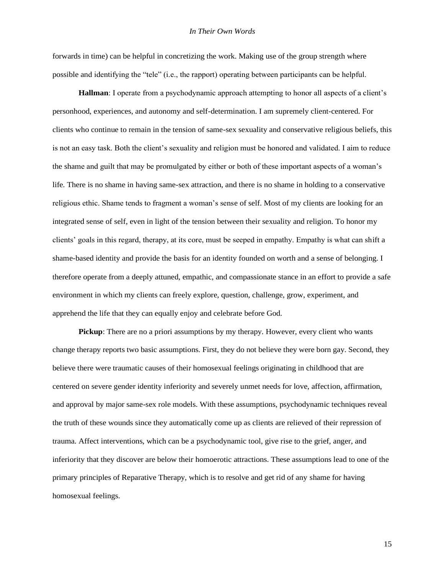### *In Their Own Words*

forwards in time) can be helpful in concretizing the work. Making use of the group strength where possible and identifying the "tele" (i.e., the rapport) operating between participants can be helpful.

**Hallman**: I operate from a psychodynamic approach attempting to honor all aspects of a client's personhood, experiences, and autonomy and self-determination. I am supremely client-centered. For clients who continue to remain in the tension of same-sex sexuality and conservative religious beliefs, this is not an easy task. Both the client's sexuality and religion must be honored and validated. I aim to reduce the shame and guilt that may be promulgated by either or both of these important aspects of a woman's life. There is no shame in having same-sex attraction, and there is no shame in holding to a conservative religious ethic. Shame tends to fragment a woman's sense of self. Most of my clients are looking for an integrated sense of self, even in light of the tension between their sexuality and religion. To honor my clients' goals in this regard, therapy, at its core, must be seeped in empathy. Empathy is what can shift a shame-based identity and provide the basis for an identity founded on worth and a sense of belonging. I therefore operate from a deeply attuned, empathic, and compassionate stance in an effort to provide a safe environment in which my clients can freely explore, question, challenge, grow, experiment, and apprehend the life that they can equally enjoy and celebrate before God.

**Pickup**: There are no a priori assumptions by my therapy. However, every client who wants change therapy reports two basic assumptions. First, they do not believe they were born gay. Second, they believe there were traumatic causes of their homosexual feelings originating in childhood that are centered on severe gender identity inferiority and severely unmet needs for love, affection, affirmation, and approval by major same-sex role models. With these assumptions, psychodynamic techniques reveal the truth of these wounds since they automatically come up as clients are relieved of their repression of trauma. Affect interventions, which can be a psychodynamic tool, give rise to the grief, anger, and inferiority that they discover are below their homoerotic attractions. These assumptions lead to one of the primary principles of Reparative Therapy, which is to resolve and get rid of any shame for having homosexual feelings.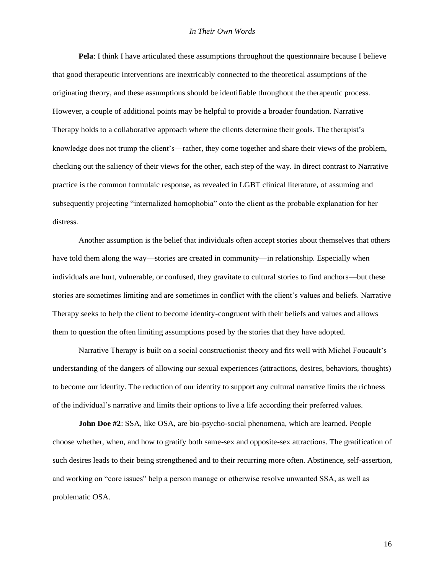**Pela**: I think I have articulated these assumptions throughout the questionnaire because I believe that good therapeutic interventions are inextricably connected to the theoretical assumptions of the originating theory, and these assumptions should be identifiable throughout the therapeutic process. However, a couple of additional points may be helpful to provide a broader foundation. Narrative Therapy holds to a collaborative approach where the clients determine their goals. The therapist's knowledge does not trump the client's—rather, they come together and share their views of the problem, checking out the saliency of their views for the other, each step of the way. In direct contrast to Narrative practice is the common formulaic response, as revealed in LGBT clinical literature, of assuming and subsequently projecting "internalized homophobia" onto the client as the probable explanation for her distress.

Another assumption is the belief that individuals often accept stories about themselves that others have told them along the way—stories are created in community—in relationship. Especially when individuals are hurt, vulnerable, or confused, they gravitate to cultural stories to find anchors—but these stories are sometimes limiting and are sometimes in conflict with the client's values and beliefs. Narrative Therapy seeks to help the client to become identity-congruent with their beliefs and values and allows them to question the often limiting assumptions posed by the stories that they have adopted.

Narrative Therapy is built on a social constructionist theory and fits well with Michel Foucault's understanding of the dangers of allowing our sexual experiences (attractions, desires, behaviors, thoughts) to become our identity. The reduction of our identity to support any cultural narrative limits the richness of the individual's narrative and limits their options to live a life according their preferred values.

**John Doe #2**: SSA, like OSA, are bio-psycho-social phenomena, which are learned. People choose whether, when, and how to gratify both same-sex and opposite-sex attractions. The gratification of such desires leads to their being strengthened and to their recurring more often. Abstinence, self-assertion, and working on "core issues" help a person manage or otherwise resolve unwanted SSA, as well as problematic OSA.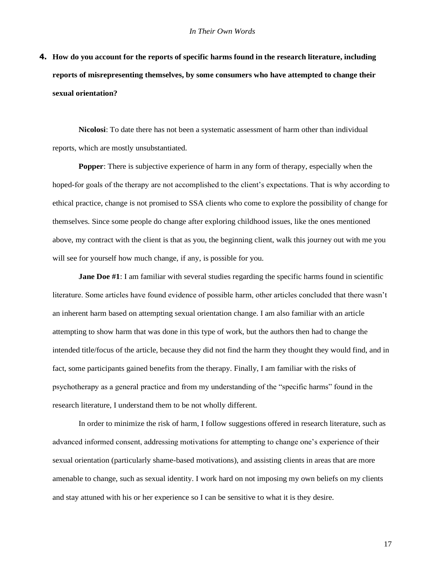**4. How do you account for the reports of specific harms found in the research literature, including reports of misrepresenting themselves, by some consumers who have attempted to change their sexual orientation?**

**Nicolosi**: To date there has not been a systematic assessment of harm other than individual reports, which are mostly unsubstantiated.

**Popper**: There is subjective experience of harm in any form of therapy, especially when the hoped-for goals of the therapy are not accomplished to the client's expectations. That is why according to ethical practice, change is not promised to SSA clients who come to explore the possibility of change for themselves. Since some people do change after exploring childhood issues, like the ones mentioned above, my contract with the client is that as you, the beginning client, walk this journey out with me you will see for yourself how much change, if any, is possible for you.

**Jane Doe #1**: I am familiar with several studies regarding the specific harms found in scientific literature. Some articles have found evidence of possible harm, other articles concluded that there wasn't an inherent harm based on attempting sexual orientation change. I am also familiar with an article attempting to show harm that was done in this type of work, but the authors then had to change the intended title/focus of the article, because they did not find the harm they thought they would find, and in fact, some participants gained benefits from the therapy. Finally, I am familiar with the risks of psychotherapy as a general practice and from my understanding of the "specific harms" found in the research literature, I understand them to be not wholly different.

In order to minimize the risk of harm, I follow suggestions offered in research literature, such as advanced informed consent, addressing motivations for attempting to change one's experience of their sexual orientation (particularly shame-based motivations), and assisting clients in areas that are more amenable to change, such as sexual identity. I work hard on not imposing my own beliefs on my clients and stay attuned with his or her experience so I can be sensitive to what it is they desire.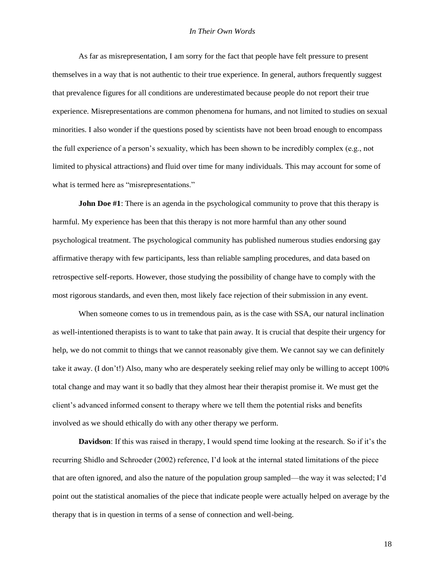As far as misrepresentation, I am sorry for the fact that people have felt pressure to present themselves in a way that is not authentic to their true experience. In general, authors frequently suggest that prevalence figures for all conditions are underestimated because people do not report their true experience. Misrepresentations are common phenomena for humans, and not limited to studies on sexual minorities. I also wonder if the questions posed by scientists have not been broad enough to encompass the full experience of a person's sexuality, which has been shown to be incredibly complex (e.g., not limited to physical attractions) and fluid over time for many individuals. This may account for some of what is termed here as "misrepresentations."

**John Doe #1**: There is an agenda in the psychological community to prove that this therapy is harmful. My experience has been that this therapy is not more harmful than any other sound psychological treatment. The psychological community has published numerous studies endorsing gay affirmative therapy with few participants, less than reliable sampling procedures, and data based on retrospective self-reports. However, those studying the possibility of change have to comply with the most rigorous standards, and even then, most likely face rejection of their submission in any event.

When someone comes to us in tremendous pain, as is the case with SSA, our natural inclination as well-intentioned therapists is to want to take that pain away. It is crucial that despite their urgency for help, we do not commit to things that we cannot reasonably give them. We cannot say we can definitely take it away. (I don't!) Also, many who are desperately seeking relief may only be willing to accept 100% total change and may want it so badly that they almost hear their therapist promise it. We must get the client's advanced informed consent to therapy where we tell them the potential risks and benefits involved as we should ethically do with any other therapy we perform.

**Davidson**: If this was raised in therapy, I would spend time looking at the research. So if it's the recurring Shidlo and Schroeder (2002) reference, I'd look at the internal stated limitations of the piece that are often ignored, and also the nature of the population group sampled—the way it was selected; I'd point out the statistical anomalies of the piece that indicate people were actually helped on average by the therapy that is in question in terms of a sense of connection and well-being.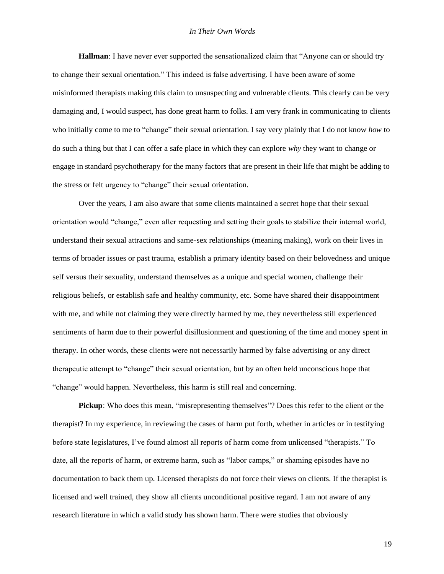**Hallman**: I have never ever supported the sensationalized claim that "Anyone can or should try to change their sexual orientation." This indeed is false advertising. I have been aware of some misinformed therapists making this claim to unsuspecting and vulnerable clients. This clearly can be very damaging and, I would suspect, has done great harm to folks. I am very frank in communicating to clients who initially come to me to "change" their sexual orientation. I say very plainly that I do not know *how* to do such a thing but that I can offer a safe place in which they can explore *why* they want to change or engage in standard psychotherapy for the many factors that are present in their life that might be adding to the stress or felt urgency to "change" their sexual orientation.

Over the years, I am also aware that some clients maintained a secret hope that their sexual orientation would "change," even after requesting and setting their goals to stabilize their internal world, understand their sexual attractions and same-sex relationships (meaning making), work on their lives in terms of broader issues or past trauma, establish a primary identity based on their belovedness and unique self versus their sexuality, understand themselves as a unique and special women, challenge their religious beliefs, or establish safe and healthy community, etc. Some have shared their disappointment with me, and while not claiming they were directly harmed by me, they nevertheless still experienced sentiments of harm due to their powerful disillusionment and questioning of the time and money spent in therapy. In other words, these clients were not necessarily harmed by false advertising or any direct therapeutic attempt to "change" their sexual orientation, but by an often held unconscious hope that "change" would happen. Nevertheless, this harm is still real and concerning.

**Pickup**: Who does this mean, "misrepresenting themselves"? Does this refer to the client or the therapist? In my experience, in reviewing the cases of harm put forth, whether in articles or in testifying before state legislatures, I've found almost all reports of harm come from unlicensed "therapists." To date, all the reports of harm, or extreme harm, such as "labor camps," or shaming episodes have no documentation to back them up. Licensed therapists do not force their views on clients. If the therapist is licensed and well trained, they show all clients unconditional positive regard. I am not aware of any research literature in which a valid study has shown harm. There were studies that obviously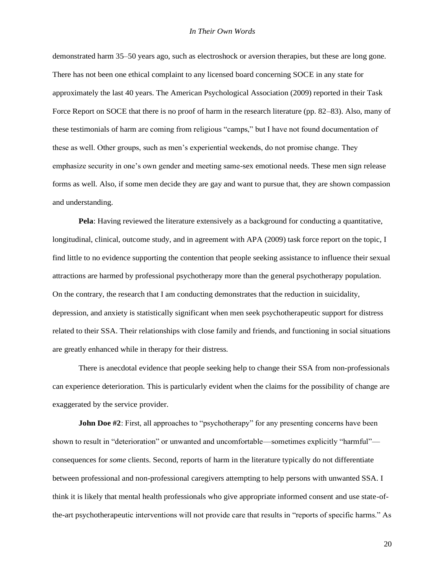demonstrated harm 35–50 years ago, such as electroshock or aversion therapies, but these are long gone. There has not been one ethical complaint to any licensed board concerning SOCE in any state for approximately the last 40 years. The American Psychological Association (2009) reported in their Task Force Report on SOCE that there is no proof of harm in the research literature (pp. 82–83). Also, many of these testimonials of harm are coming from religious "camps," but I have not found documentation of these as well. Other groups, such as men's experiential weekends, do not promise change. They emphasize security in one's own gender and meeting same-sex emotional needs. These men sign release forms as well. Also, if some men decide they are gay and want to pursue that, they are shown compassion and understanding.

**Pela**: Having reviewed the literature extensively as a background for conducting a quantitative, longitudinal, clinical, outcome study, and in agreement with APA (2009) task force report on the topic, I find little to no evidence supporting the contention that people seeking assistance to influence their sexual attractions are harmed by professional psychotherapy more than the general psychotherapy population. On the contrary, the research that I am conducting demonstrates that the reduction in suicidality, depression, and anxiety is statistically significant when men seek psychotherapeutic support for distress related to their SSA. Their relationships with close family and friends, and functioning in social situations are greatly enhanced while in therapy for their distress.

There is anecdotal evidence that people seeking help to change their SSA from non-professionals can experience deterioration. This is particularly evident when the claims for the possibility of change are exaggerated by the service provider.

**John Doe #2**: First, all approaches to "psychotherapy" for any presenting concerns have been shown to result in "deterioration" or unwanted and uncomfortable—sometimes explicitly "harmful" consequences for *some* clients. Second, reports of harm in the literature typically do not differentiate between professional and non-professional caregivers attempting to help persons with unwanted SSA. I think it is likely that mental health professionals who give appropriate informed consent and use state-ofthe-art psychotherapeutic interventions will not provide care that results in "reports of specific harms." As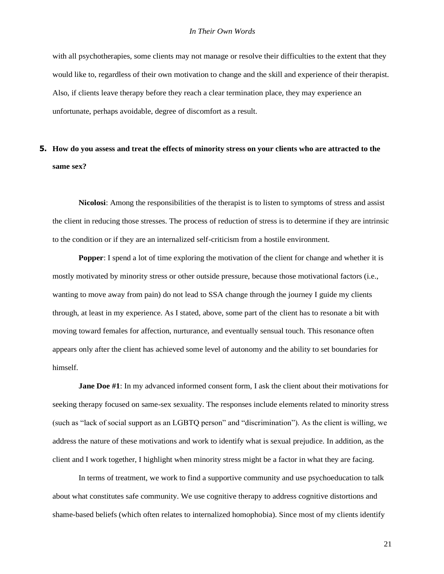with all psychotherapies, some clients may not manage or resolve their difficulties to the extent that they would like to, regardless of their own motivation to change and the skill and experience of their therapist. Also, if clients leave therapy before they reach a clear termination place, they may experience an unfortunate, perhaps avoidable, degree of discomfort as a result.

## 5. How do you assess and treat the effects of minority stress on your clients who are attracted to the **same sex?**

**Nicolosi**: Among the responsibilities of the therapist is to listen to symptoms of stress and assist the client in reducing those stresses. The process of reduction of stress is to determine if they are intrinsic to the condition or if they are an internalized self-criticism from a hostile environment.

**Popper:** I spend a lot of time exploring the motivation of the client for change and whether it is mostly motivated by minority stress or other outside pressure, because those motivational factors (i.e., wanting to move away from pain) do not lead to SSA change through the journey I guide my clients through, at least in my experience. As I stated, above, some part of the client has to resonate a bit with moving toward females for affection, nurturance, and eventually sensual touch. This resonance often appears only after the client has achieved some level of autonomy and the ability to set boundaries for himself.

**Jane Doe #1**: In my advanced informed consent form, I ask the client about their motivations for seeking therapy focused on same-sex sexuality. The responses include elements related to minority stress (such as "lack of social support as an LGBTQ person" and "discrimination"). As the client is willing, we address the nature of these motivations and work to identify what is sexual prejudice. In addition, as the client and I work together, I highlight when minority stress might be a factor in what they are facing.

In terms of treatment, we work to find a supportive community and use psychoeducation to talk about what constitutes safe community. We use cognitive therapy to address cognitive distortions and shame-based beliefs (which often relates to internalized homophobia). Since most of my clients identify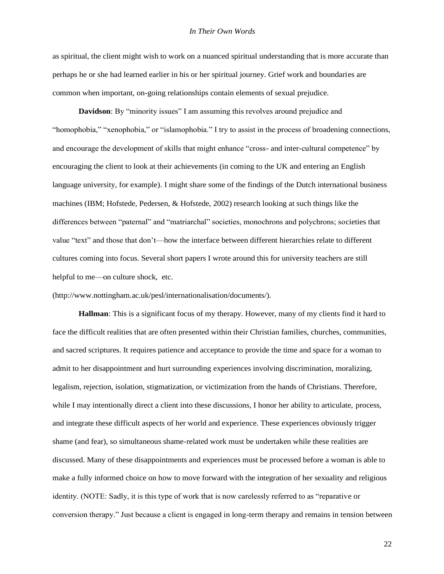### *In Their Own Words*

as spiritual, the client might wish to work on a nuanced spiritual understanding that is more accurate than perhaps he or she had learned earlier in his or her spiritual journey. Grief work and boundaries are common when important, on-going relationships contain elements of sexual prejudice.

**Davidson**: By "minority issues" I am assuming this revolves around prejudice and "homophobia," "xenophobia," or "islamophobia." I try to assist in the process of broadening connections, and encourage the development of skills that might enhance "cross- and inter-cultural competence" by encouraging the client to look at their achievements (in coming to the UK and entering an English language university, for example). I might share some of the findings of the Dutch international business machines (IBM; Hofstede, Pedersen, & Hofstede, 2002) research looking at such things like the differences between "paternal" and "matriarchal" societies, monochrons and polychrons; societies that value "text" and those that don't—how the interface between different hierarchies relate to different cultures coming into focus. Several short papers I wrote around this for university teachers are still helpful to me—on culture shock, etc.

[\(http://www.nottingham.ac.uk/pesl/internationalisation/documents/\).](http://www.nottingham.ac.uk/pesl/internationalisation/documents/))

**Hallman**: This is a significant focus of my therapy. However, many of my clients find it hard to face the difficult realities that are often presented within their Christian families, churches, communities, and sacred scriptures. It requires patience and acceptance to provide the time and space for a woman to admit to her disappointment and hurt surrounding experiences involving discrimination, moralizing, legalism, rejection, isolation, stigmatization, or victimization from the hands of Christians. Therefore, while I may intentionally direct a client into these discussions, I honor her ability to articulate, process, and integrate these difficult aspects of her world and experience. These experiences obviously trigger shame (and fear), so simultaneous shame-related work must be undertaken while these realities are discussed. Many of these disappointments and experiences must be processed before a woman is able to make a fully informed choice on how to move forward with the integration of her sexuality and religious identity. (NOTE: Sadly, it is this type of work that is now carelessly referred to as "reparative or conversion therapy." Just because a client is engaged in long-term therapy and remains in tension between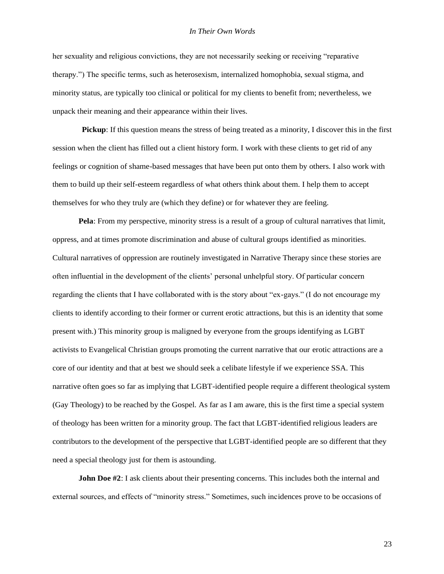her sexuality and religious convictions, they are not necessarily seeking or receiving "reparative therapy.") The specific terms, such as heterosexism, internalized homophobia, sexual stigma, and minority status, are typically too clinical or political for my clients to benefit from; nevertheless, we unpack their meaning and their appearance within their lives.

**Pickup**: If this question means the stress of being treated as a minority, I discover this in the first session when the client has filled out a client history form. I work with these clients to get rid of any feelings or cognition of shame-based messages that have been put onto them by others. I also work with them to build up their self-esteem regardless of what others think about them. I help them to accept themselves for who they truly are (which they define) or for whatever they are feeling.

**Pela**: From my perspective, minority stress is a result of a group of cultural narratives that limit, oppress, and at times promote discrimination and abuse of cultural groups identified as minorities. Cultural narratives of oppression are routinely investigated in Narrative Therapy since these stories are often influential in the development of the clients' personal unhelpful story. Of particular concern regarding the clients that I have collaborated with is the story about "ex-gays." (I do not encourage my clients to identify according to their former or current erotic attractions, but this is an identity that some present with.) This minority group is maligned by everyone from the groups identifying as LGBT activists to Evangelical Christian groups promoting the current narrative that our erotic attractions are a core of our identity and that at best we should seek a celibate lifestyle if we experience SSA. This narrative often goes so far as implying that LGBT-identified people require a different theological system (Gay Theology) to be reached by the Gospel. As far as I am aware, this is the first time a special system of theology has been written for a minority group. The fact that LGBT-identified religious leaders are contributors to the development of the perspective that LGBT-identified people are so different that they need a special theology just for them is astounding.

**John Doe #2:** I ask clients about their presenting concerns. This includes both the internal and external sources, and effects of "minority stress." Sometimes, such incidences prove to be occasions of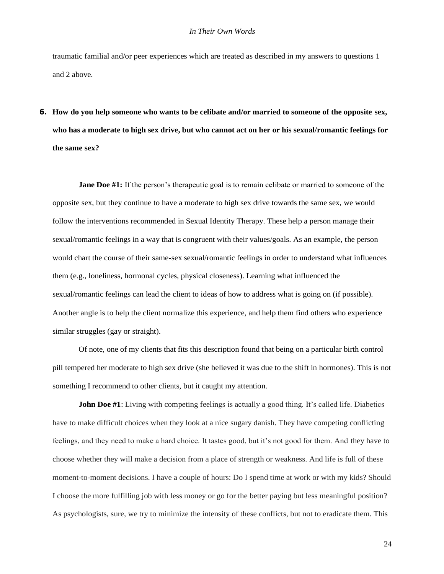traumatic familial and/or peer experiences which are treated as described in my answers to questions 1 and 2 above.

**6. How do you help someone who wants to be celibate and/or married to someone of the opposite sex,**  who has a moderate to high sex drive, but who cannot act on her or his sexual/romantic feelings for **the same sex?**

**Jane Doe #1:** If the person's therapeutic goal is to remain celibate or married to someone of the opposite sex, but they continue to have a moderate to high sex drive towards the same sex, we would follow the interventions recommended in Sexual Identity Therapy. These help a person manage their sexual/romantic feelings in a way that is congruent with their values/goals. As an example, the person would chart the course of their same-sex sexual/romantic feelings in order to understand what influences them (e.g., loneliness, hormonal cycles, physical closeness). Learning what influenced the sexual/romantic feelings can lead the client to ideas of how to address what is going on (if possible). Another angle is to help the client normalize this experience, and help them find others who experience similar struggles (gay or straight).

Of note, one of my clients that fits this description found that being on a particular birth control pill tempered her moderate to high sex drive (she believed it was due to the shift in hormones). This is not something I recommend to other clients, but it caught my attention.

**John Doe #1**: Living with competing feelings is actually a good thing. It's called life. Diabetics have to make difficult choices when they look at a nice sugary danish. They have competing conflicting feelings, and they need to make a hard choice. It tastes good, but it's not good for them. And they have to choose whether they will make a decision from a place of strength or weakness. And life is full of these moment-to-moment decisions. I have a couple of hours: Do I spend time at work or with my kids? Should I choose the more fulfilling job with less money or go for the better paying but less meaningful position? As psychologists, sure, we try to minimize the intensity of these conflicts, but not to eradicate them. This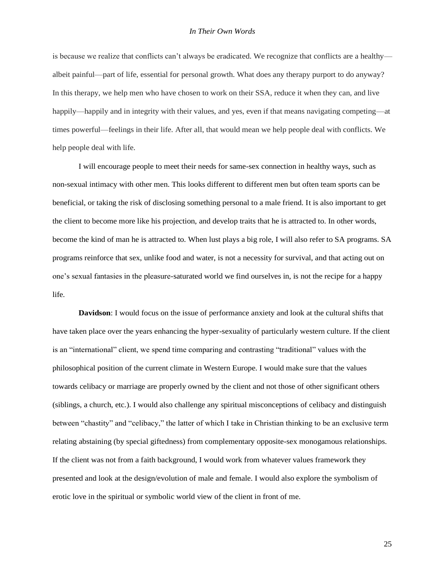is because we realize that conflicts can't always be eradicated. We recognize that conflicts are a healthy albeit painful—part of life, essential for personal growth. What does any therapy purport to do anyway? In this therapy, we help men who have chosen to work on their SSA, reduce it when they can, and live happily—happily and in integrity with their values, and yes, even if that means navigating competing—at times powerful—feelings in their life. After all, that would mean we help people deal with conflicts. We help people deal with life.

I will encourage people to meet their needs for same-sex connection in healthy ways, such as non-sexual intimacy with other men. This looks different to different men but often team sports can be beneficial, or taking the risk of disclosing something personal to a male friend. It is also important to get the client to become more like his projection, and develop traits that he is attracted to. In other words, become the kind of man he is attracted to. When lust plays a big role, I will also refer to SA programs. SA programs reinforce that sex, unlike food and water, is not a necessity for survival, and that acting out on one's sexual fantasies in the pleasure-saturated world we find ourselves in, is not the recipe for a happy life.

**Davidson**: I would focus on the issue of performance anxiety and look at the cultural shifts that have taken place over the years enhancing the hyper-sexuality of particularly western culture. If the client is an "international" client, we spend time comparing and contrasting "traditional" values with the philosophical position of the current climate in Western Europe. I would make sure that the values towards celibacy or marriage are properly owned by the client and not those of other significant others (siblings, a church, etc.). I would also challenge any spiritual misconceptions of celibacy and distinguish between "chastity" and "celibacy," the latter of which I take in Christian thinking to be an exclusive term relating abstaining (by special giftedness) from complementary opposite-sex monogamous relationships. If the client was not from a faith background, I would work from whatever values framework they presented and look at the design/evolution of male and female. I would also explore the symbolism of erotic love in the spiritual or symbolic world view of the client in front of me.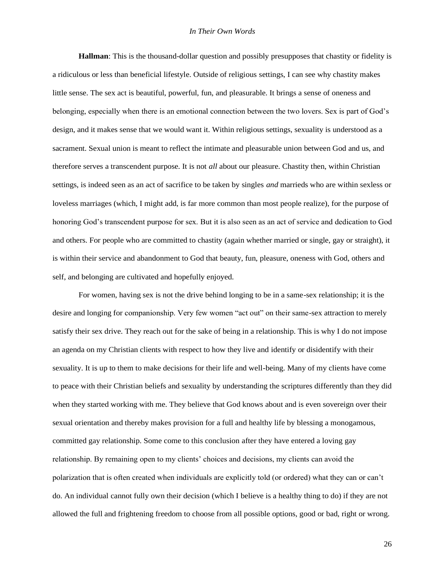**Hallman**: This is the thousand-dollar question and possibly presupposes that chastity or fidelity is a ridiculous or less than beneficial lifestyle. Outside of religious settings, I can see why chastity makes little sense. The sex act is beautiful, powerful, fun, and pleasurable. It brings a sense of oneness and belonging, especially when there is an emotional connection between the two lovers. Sex is part of God's design, and it makes sense that we would want it. Within religious settings, sexuality is understood as a sacrament. Sexual union is meant to reflect the intimate and pleasurable union between God and us, and therefore serves a transcendent purpose. It is not *all* about our pleasure. Chastity then, within Christian settings, is indeed seen as an act of sacrifice to be taken by singles *and* marrieds who are within sexless or loveless marriages (which, I might add, is far more common than most people realize), for the purpose of honoring God's transcendent purpose for sex. But it is also seen as an act of service and dedication to God and others. For people who are committed to chastity (again whether married or single, gay or straight), it is within their service and abandonment to God that beauty, fun, pleasure, oneness with God, others and self, and belonging are cultivated and hopefully enjoyed.

For women, having sex is not the drive behind longing to be in a same-sex relationship; it is the desire and longing for companionship. Very few women "act out" on their same-sex attraction to merely satisfy their sex drive. They reach out for the sake of being in a relationship. This is why I do not impose an agenda on my Christian clients with respect to how they live and identify or disidentify with their sexuality. It is up to them to make decisions for their life and well-being. Many of my clients have come to peace with their Christian beliefs and sexuality by understanding the scriptures differently than they did when they started working with me. They believe that God knows about and is even sovereign over their sexual orientation and thereby makes provision for a full and healthy life by blessing a monogamous, committed gay relationship. Some come to this conclusion after they have entered a loving gay relationship. By remaining open to my clients' choices and decisions, my clients can avoid the polarization that is often created when individuals are explicitly told (or ordered) what they can or can't do. An individual cannot fully own their decision (which I believe is a healthy thing to do) if they are not allowed the full and frightening freedom to choose from all possible options, good or bad, right or wrong.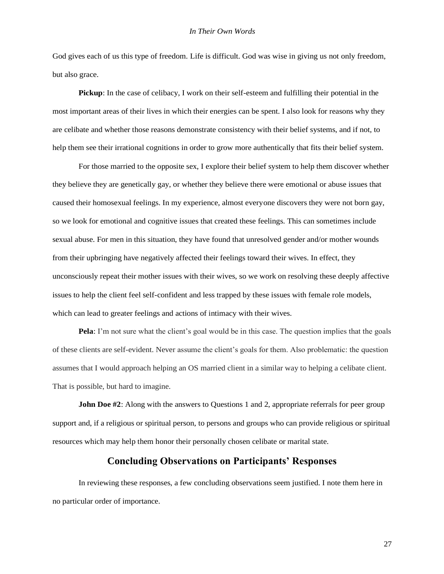God gives each of us this type of freedom. Life is difficult. God was wise in giving us not only freedom, but also grace.

**Pickup**: In the case of celibacy, I work on their self-esteem and fulfilling their potential in the most important areas of their lives in which their energies can be spent. I also look for reasons why they are celibate and whether those reasons demonstrate consistency with their belief systems, and if not, to help them see their irrational cognitions in order to grow more authentically that fits their belief system.

For those married to the opposite sex, I explore their belief system to help them discover whether they believe they are genetically gay, or whether they believe there were emotional or abuse issues that caused their homosexual feelings. In my experience, almost everyone discovers they were not born gay, so we look for emotional and cognitive issues that created these feelings. This can sometimes include sexual abuse. For men in this situation, they have found that unresolved gender and/or mother wounds from their upbringing have negatively affected their feelings toward their wives. In effect, they unconsciously repeat their mother issues with their wives, so we work on resolving these deeply affective issues to help the client feel self-confident and less trapped by these issues with female role models, which can lead to greater feelings and actions of intimacy with their wives.

**Pela**: I'm not sure what the client's goal would be in this case. The question implies that the goals of these clients are self-evident. Never assume the client's goals for them. Also problematic: the question assumes that I would approach helping an OS married client in a similar way to helping a celibate client. That is possible, but hard to imagine.

**John Doe #2**: Along with the answers to Questions 1 and 2, appropriate referrals for peer group support and, if a religious or spiritual person, to persons and groups who can provide religious or spiritual resources which may help them honor their personally chosen celibate or marital state.

## **Concluding Observations on Participants' Responses**

In reviewing these responses, a few concluding observations seem justified. I note them here in no particular order of importance.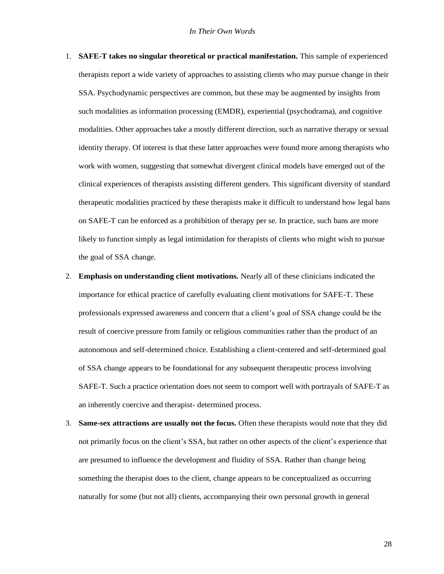- 1. **SAFE-T takes no singular theoretical or practical manifestation.** This sample of experienced therapists report a wide variety of approaches to assisting clients who may pursue change in their SSA. Psychodynamic perspectives are common, but these may be augmented by insights from such modalities as information processing (EMDR), experiential (psychodrama), and cognitive modalities. Other approaches take a mostly different direction, such as narrative therapy or sexual identity therapy. Of interest is that these latter approaches were found more among therapists who work with women, suggesting that somewhat divergent clinical models have emerged out of the clinical experiences of therapists assisting different genders. This significant diversity of standard therapeutic modalities practiced by these therapists make it difficult to understand how legal bans on SAFE-T can be enforced as a prohibition of therapy per se. In practice, such bans are more likely to function simply as legal intimidation for therapists of clients who might wish to pursue the goal of SSA change.
- 2. **Emphasis on understanding client motivations.** Nearly all of these clinicians indicated the importance for ethical practice of carefully evaluating client motivations for SAFE-T. These professionals expressed awareness and concern that a client's goal of SSA change could be the result of coercive pressure from family or religious communities rather than the product of an autonomous and self-determined choice. Establishing a client-centered and self-determined goal of SSA change appears to be foundational for any subsequent therapeutic process involving SAFE-T. Such a practice orientation does not seem to comport well with portrayals of SAFE-T as an inherently coercive and therapist- determined process.
- 3. **Same-sex attractions are usually not the focus.** Often these therapists would note that they did not primarily focus on the client's SSA, but rather on other aspects of the client's experience that are presumed to influence the development and fluidity of SSA. Rather than change being something the therapist does to the client, change appears to be conceptualized as occurring naturally for some (but not all) clients, accompanying their own personal growth in general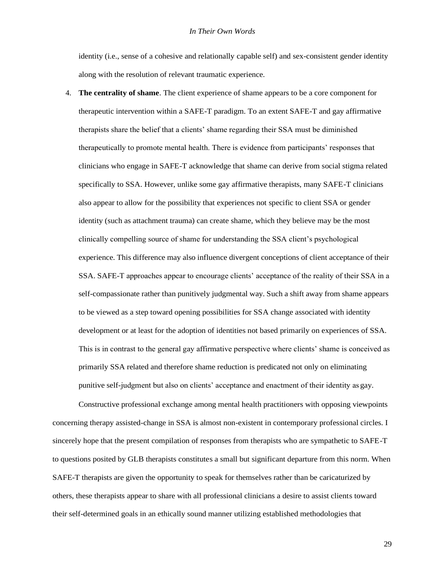identity (i.e., sense of a cohesive and relationally capable self) and sex-consistent gender identity along with the resolution of relevant traumatic experience.

4. **The centrality of shame**. The client experience of shame appears to be a core component for therapeutic intervention within a SAFE-T paradigm. To an extent SAFE-T and gay affirmative therapists share the belief that a clients' shame regarding their SSA must be diminished therapeutically to promote mental health. There is evidence from participants' responses that clinicians who engage in SAFE-T acknowledge that shame can derive from social stigma related specifically to SSA. However, unlike some gay affirmative therapists, many SAFE-T clinicians also appear to allow for the possibility that experiences not specific to client SSA or gender identity (such as attachment trauma) can create shame, which they believe may be the most clinically compelling source of shame for understanding the SSA client's psychological experience. This difference may also influence divergent conceptions of client acceptance of their SSA. SAFE-T approaches appear to encourage clients' acceptance of the reality of their SSA in a self-compassionate rather than punitively judgmental way. Such a shift away from shame appears to be viewed as a step toward opening possibilities for SSA change associated with identity development or at least for the adoption of identities not based primarily on experiences of SSA. This is in contrast to the general gay affirmative perspective where clients' shame is conceived as primarily SSA related and therefore shame reduction is predicated not only on eliminating punitive self-judgment but also on clients' acceptance and enactment of their identity as gay.

Constructive professional exchange among mental health practitioners with opposing viewpoints concerning therapy assisted-change in SSA is almost non-existent in contemporary professional circles. I sincerely hope that the present compilation of responses from therapists who are sympathetic to SAFE-T to questions posited by GLB therapists constitutes a small but significant departure from this norm. When SAFE-T therapists are given the opportunity to speak for themselves rather than be caricaturized by others, these therapists appear to share with all professional clinicians a desire to assist clients toward their self-determined goals in an ethically sound manner utilizing established methodologies that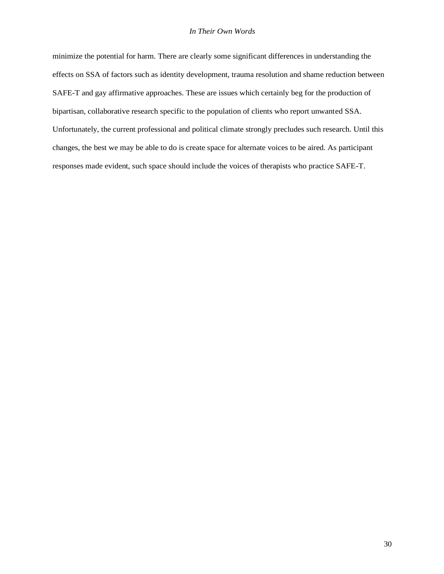minimize the potential for harm. There are clearly some significant differences in understanding the effects on SSA of factors such as identity development, trauma resolution and shame reduction between SAFE-T and gay affirmative approaches. These are issues which certainly beg for the production of bipartisan, collaborative research specific to the population of clients who report unwanted SSA. Unfortunately, the current professional and political climate strongly precludes such research. Until this changes, the best we may be able to do is create space for alternate voices to be aired. As participant responses made evident, such space should include the voices of therapists who practice SAFE-T.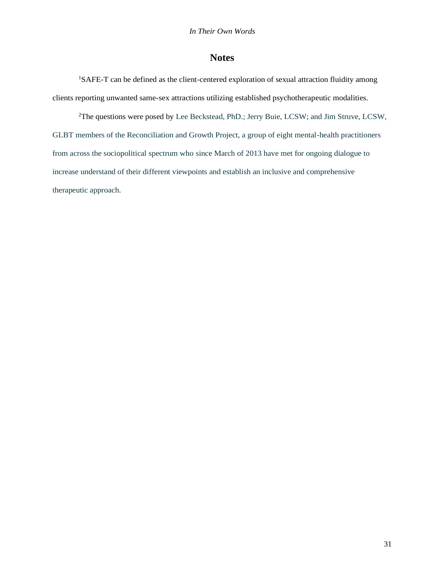## **Notes**

<sup>1</sup>SAFE-T can be defined as the client-centered exploration of sexual attraction fluidity among clients reporting unwanted same-sex attractions utilizing established psychotherapeutic modalities.

<sup>2</sup>The questions were posed by Lee Beckstead, PhD.; Jerry Buie, LCSW; and Jim Struve, LCSW, GLBT members of the Reconciliation and Growth Project, a group of eight mental-health practitioners from across the sociopolitical spectrum who since March of 2013 have met for ongoing dialogue to increase understand of their different viewpoints and establish an inclusive and comprehensive therapeutic approach.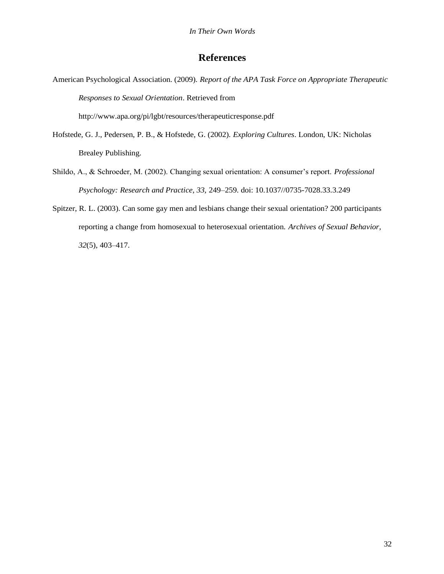## **References**

American Psychological Association. (2009). *Report of the APA Task Force on Appropriate Therapeutic Responses to Sexual Orientation*. Retrieved from

<http://www.apa.org/pi/lgbt/resources/therapeuticresponse.pdf>

- Hofstede, G. J., Pedersen, P. B., & Hofstede, G. (2002). *Exploring Cultures*. London, UK: Nicholas Brealey Publishing.
- Shildo, A., & Schroeder, M. (2002). Changing sexual orientation: A consumer's report. *Professional Psychology: Research and Practice, 33,* 249–259. doi: 10.1037//0735-7028.33.3.249
- Spitzer, R. L. (2003). Can some gay men and lesbians change their sexual orientation? 200 participants reporting a change from homosexual to heterosexual orientation. *Archives of Sexual Behavior, 32*(5), 403–417.